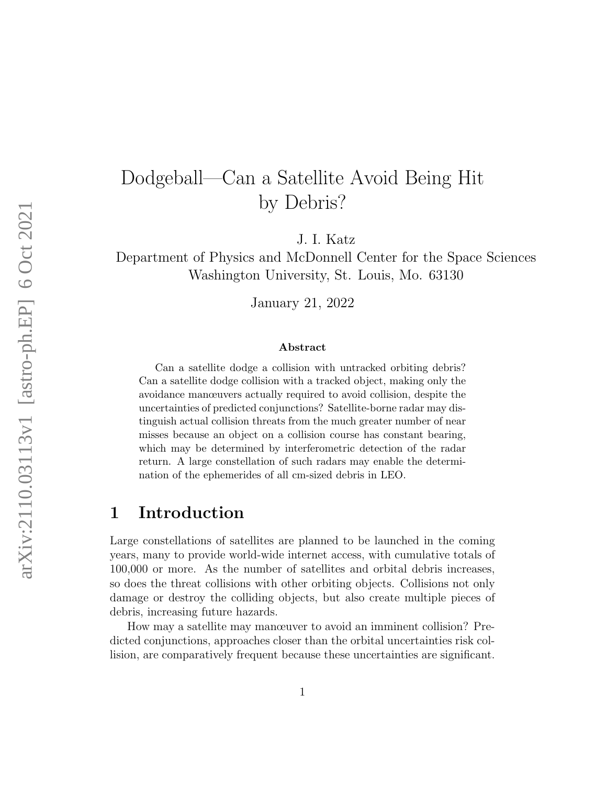# Dodgeball—Can a Satellite Avoid Being Hit by Debris?

J. I. Katz

Department of Physics and McDonnell Center for the Space Sciences Washington University, St. Louis, Mo. 63130

January 21, 2022

#### Abstract

Can a satellite dodge a collision with untracked orbiting debris? Can a satellite dodge collision with a tracked object, making only the avoidance manœuvers actually required to avoid collision, despite the uncertainties of predicted conjunctions? Satellite-borne radar may distinguish actual collision threats from the much greater number of near misses because an object on a collision course has constant bearing, which may be determined by interferometric detection of the radar return. A large constellation of such radars may enable the determination of the ephemerides of all cm-sized debris in LEO.

### 1 Introduction

Large constellations of satellites are planned to be launched in the coming years, many to provide world-wide internet access, with cumulative totals of 100,000 or more. As the number of satellites and orbital debris increases, so does the threat collisions with other orbiting objects. Collisions not only damage or destroy the colliding objects, but also create multiple pieces of debris, increasing future hazards.

How may a satellite may manœuver to avoid an imminent collision? Predicted conjunctions, approaches closer than the orbital uncertainties risk collision, are comparatively frequent because these uncertainties are significant.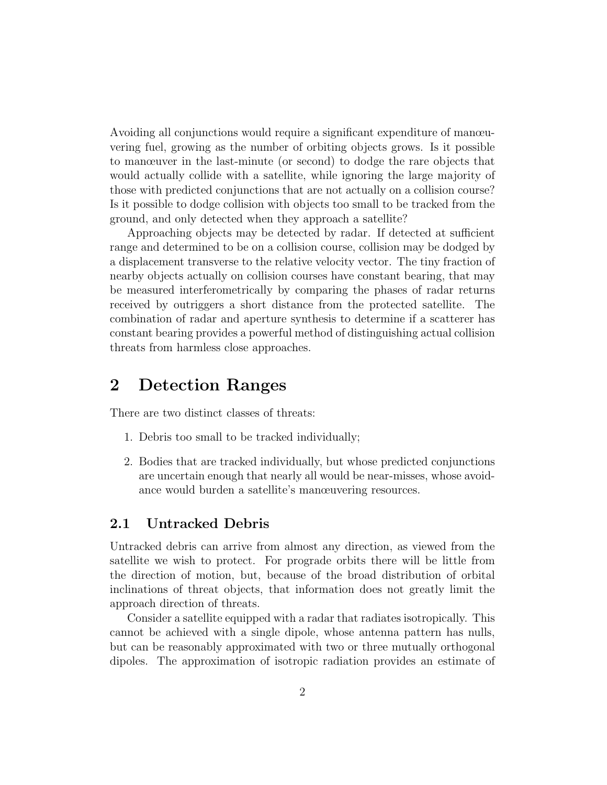Avoiding all conjunctions would require a significant expenditure of manœuvering fuel, growing as the number of orbiting objects grows. Is it possible to manœuver in the last-minute (or second) to dodge the rare objects that would actually collide with a satellite, while ignoring the large majority of those with predicted conjunctions that are not actually on a collision course? Is it possible to dodge collision with objects too small to be tracked from the ground, and only detected when they approach a satellite?

Approaching objects may be detected by radar. If detected at sufficient range and determined to be on a collision course, collision may be dodged by a displacement transverse to the relative velocity vector. The tiny fraction of nearby objects actually on collision courses have constant bearing, that may be measured interferometrically by comparing the phases of radar returns received by outriggers a short distance from the protected satellite. The combination of radar and aperture synthesis to determine if a scatterer has constant bearing provides a powerful method of distinguishing actual collision threats from harmless close approaches.

## 2 Detection Ranges

There are two distinct classes of threats:

- 1. Debris too small to be tracked individually;
- 2. Bodies that are tracked individually, but whose predicted conjunctions are uncertain enough that nearly all would be near-misses, whose avoidance would burden a satellite's manœuvering resources.

#### 2.1 Untracked Debris

Untracked debris can arrive from almost any direction, as viewed from the satellite we wish to protect. For prograde orbits there will be little from the direction of motion, but, because of the broad distribution of orbital inclinations of threat objects, that information does not greatly limit the approach direction of threats.

Consider a satellite equipped with a radar that radiates isotropically. This cannot be achieved with a single dipole, whose antenna pattern has nulls, but can be reasonably approximated with two or three mutually orthogonal dipoles. The approximation of isotropic radiation provides an estimate of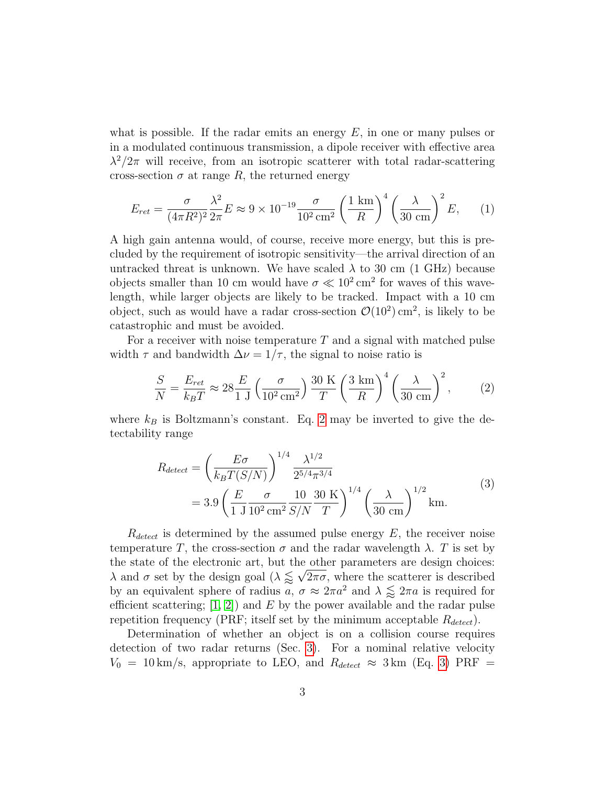what is possible. If the radar emits an energy  $E$ , in one or many pulses or in a modulated continuous transmission, a dipole receiver with effective area  $\lambda^2/2\pi$  will receive, from an isotropic scatterer with total radar-scattering cross-section  $\sigma$  at range R, the returned energy

<span id="page-2-2"></span>
$$
E_{ret} = \frac{\sigma}{(4\pi R^2)^2} \frac{\lambda^2}{2\pi} E \approx 9 \times 10^{-19} \frac{\sigma}{10^2 \text{ cm}^2} \left(\frac{1 \text{ km}}{R}\right)^4 \left(\frac{\lambda}{30 \text{ cm}}\right)^2 E,\qquad(1)
$$

A high gain antenna would, of course, receive more energy, but this is precluded by the requirement of isotropic sensitivity—the arrival direction of an untracked threat is unknown. We have scaled  $\lambda$  to 30 cm (1 GHz) because objects smaller than 10 cm would have  $\sigma \ll 10^2$  cm<sup>2</sup> for waves of this wavelength, while larger objects are likely to be tracked. Impact with a 10 cm object, such as would have a radar cross-section  $\mathcal{O}(10^2)$  cm<sup>2</sup>, is likely to be catastrophic and must be avoided.

For a receiver with noise temperature  $T$  and a signal with matched pulse width  $\tau$  and bandwidth  $\Delta \nu = 1/\tau$ , the signal to noise ratio is

<span id="page-2-0"></span>
$$
\frac{S}{N} = \frac{E_{ret}}{k_B T} \approx 28 \frac{E}{1 \text{ J}} \left(\frac{\sigma}{10^2 \text{ cm}^2}\right) \frac{30 \text{ K}}{T} \left(\frac{3 \text{ km}}{R}\right)^4 \left(\frac{\lambda}{30 \text{ cm}}\right)^2, \tag{2}
$$

where  $k_B$  is Boltzmann's constant. Eq. [2](#page-2-0) may be inverted to give the detectability range

<span id="page-2-1"></span>
$$
R_{detect} = \left(\frac{E\sigma}{k_B T(S/N)}\right)^{1/4} \frac{\lambda^{1/2}}{2^{5/4} \pi^{3/4}}
$$
  
= 3.9  $\left(\frac{E}{1 \text{ J}} \frac{\sigma}{10^2 \text{ cm}^2} \frac{10}{S/N} \frac{30 \text{ K}}{T}\right)^{1/4} \left(\frac{\lambda}{30 \text{ cm}}\right)^{1/2} \text{km.}$  (3)

 $R_{detect}$  is determined by the assumed pulse energy  $E$ , the receiver noise temperature T, the cross-section  $\sigma$  and the radar wavelength  $\lambda$ . T is set by the state of the electronic art, but the other parameters are design choices:  $\lambda$  and  $\sigma$  set by the design goal  $(\lambda \leq \sqrt{2\pi\sigma})$ , where the scatterer is described by an equivalent sphere of radius a,  $\sigma \approx 2\pi a^2$  and  $\lambda \lessapprox 2\pi a$  is required for efficient scattering;  $(1, 2)$  and E by the power available and the radar pulse repetition frequency (PRF; itself set by the minimum acceptable  $R_{detect}$ ).

Determination of whether an object is on a collision course requires detection of two radar returns (Sec. [3\)](#page-5-0). For a nominal relative velocity  $V_0 = 10 \text{ km/s}$ , appropriate to LEO, and  $R_{detect} \approx 3 \text{ km}$  (Eq. [3\)](#page-2-1) PRF =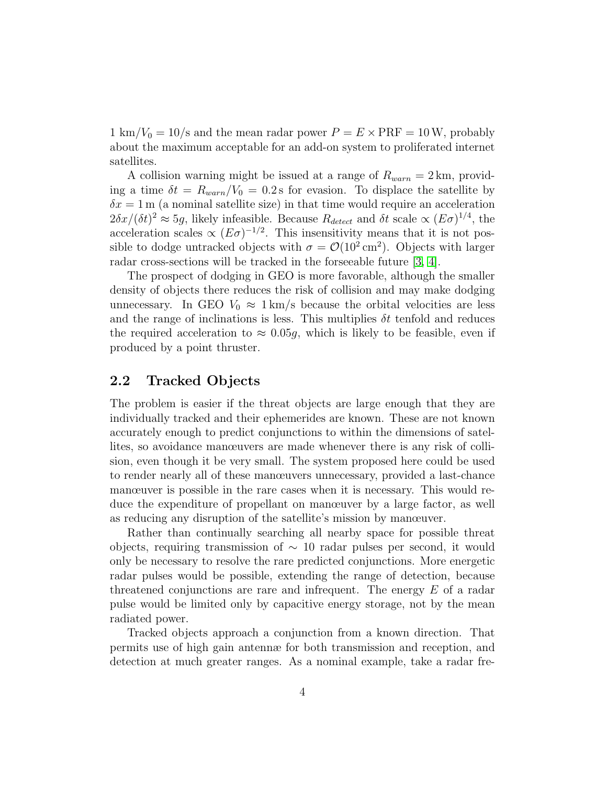1 km/ $V_0 = 10$ /s and the mean radar power  $P = E \times PRF = 10$ W, probably about the maximum acceptable for an add-on system to proliferated internet satellites.

A collision warning might be issued at a range of  $R_{warn} = 2 \text{ km}$ , providing a time  $\delta t = R_{warm}/V_0 = 0.2$  s for evasion. To displace the satellite by  $\delta x = 1$  m (a nominal satellite size) in that time would require an acceleration  $2\delta x/(\delta t)^2 \approx 5g$ , likely infeasible. Because  $R_{detect}$  and  $\delta t$  scale  $\propto (E\sigma)^{1/4}$ , the acceleration scales  $\propto (E\sigma)^{-1/2}$ . This insensitivity means that it is not possible to dodge untracked objects with  $\sigma = \mathcal{O}(10^2 \text{ cm}^2)$ . Objects with larger radar cross-sections will be tracked in the forseeable future [\[3,](#page-13-2) [4\]](#page-13-3).

The prospect of dodging in GEO is more favorable, although the smaller density of objects there reduces the risk of collision and may make dodging unnecessary. In GEO  $V_0 \approx 1 \text{ km/s}$  because the orbital velocities are less and the range of inclinations is less. This multiplies  $\delta t$  tenfold and reduces the required acceleration to  $\approx 0.05q$ , which is likely to be feasible, even if produced by a point thruster.

#### <span id="page-3-0"></span>2.2 Tracked Objects

The problem is easier if the threat objects are large enough that they are individually tracked and their ephemerides are known. These are not known accurately enough to predict conjunctions to within the dimensions of satellites, so avoidance manœuvers are made whenever there is any risk of collision, even though it be very small. The system proposed here could be used to render nearly all of these manœuvers unnecessary, provided a last-chance manœuver is possible in the rare cases when it is necessary. This would reduce the expenditure of propellant on manœuver by a large factor, as well as reducing any disruption of the satellite's mission by manœuver.

Rather than continually searching all nearby space for possible threat objects, requiring transmission of  $\sim$  10 radar pulses per second, it would only be necessary to resolve the rare predicted conjunctions. More energetic radar pulses would be possible, extending the range of detection, because threatened conjunctions are rare and infrequent. The energy  $E$  of a radar pulse would be limited only by capacitive energy storage, not by the mean radiated power.

Tracked objects approach a conjunction from a known direction. That permits use of high gain antennæ for both transmission and reception, and detection at much greater ranges. As a nominal example, take a radar fre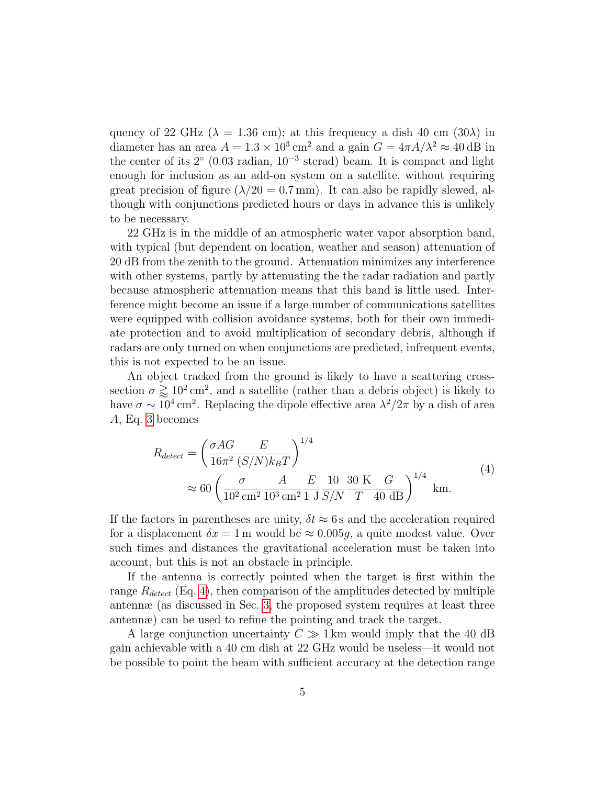quency of 22 GHz ( $\lambda = 1.36$  cm); at this frequency a dish 40 cm (30 $\lambda$ ) in diameter has an area  $A = 1.3 \times 10^3 \text{ cm}^2$  and a gain  $G = 4\pi A/\lambda^2 \approx 40 \text{ dB}$  in the center of its  $2°$  (0.03 radian,  $10^{-3}$  sterad) beam. It is compact and light enough for inclusion as an add-on system on a satellite, without requiring great precision of figure  $(\lambda/20 = 0.7 \text{ mm})$ . It can also be rapidly slewed, although with conjunctions predicted hours or days in advance this is unlikely to be necessary.

22 GHz is in the middle of an atmospheric water vapor absorption band, with typical (but dependent on location, weather and season) attenuation of 20 dB from the zenith to the ground. Attenuation minimizes any interference with other systems, partly by attenuating the the radar radiation and partly because atmospheric attenuation means that this band is little used. Interference might become an issue if a large number of communications satellites were equipped with collision avoidance systems, both for their own immediate protection and to avoid multiplication of secondary debris, although if radars are only turned on when conjunctions are predicted, infrequent events, this is not expected to be an issue.

An object tracked from the ground is likely to have a scattering crosssection  $\sigma \gtrapprox 10^2 \,\mathrm{cm}^2$ , and a satellite (rather than a debris object) is likely to have  $\sigma \sim 10^4 \,\mathrm{cm}^2$ . Replacing the dipole effective area  $\lambda^2/2\pi$  by a dish of area A, Eq. [3](#page-2-1) becomes

<span id="page-4-0"></span>
$$
R_{detect} = \left(\frac{\sigma AG}{16\pi^2} \frac{E}{(S/N)k_B T}\right)^{1/4}
$$
  
\n
$$
\approx 60 \left(\frac{\sigma}{10^2 \text{ cm}^2} \frac{A}{10^3 \text{ cm}^2} \frac{E}{1 \text{ J}} \frac{10}{S/N} \frac{30 \text{ K}}{T} \frac{G}{40 \text{ dB}}\right)^{1/4} \text{ km.}
$$
\n(4)

If the factors in parentheses are unity,  $\delta t \approx 6$  s and the acceleration required for a displacement  $\delta x = 1$  m would be  $\approx 0.005g$ , a quite modest value. Over such times and distances the gravitational acceleration must be taken into account, but this is not an obstacle in principle.

If the antenna is correctly pointed when the target is first within the range  $R_{detect}$  (Eq. [4\)](#page-4-0), then comparison of the amplitudes detected by multiple antennæ (as discussed in Sec. [3,](#page-5-0) the proposed system requires at least three antennæ) can be used to refine the pointing and track the target.

A large conjunction uncertainty  $C \gg 1$  km would imply that the 40 dB gain achievable with a 40 cm dish at 22 GHz would be useless—it would not be possible to point the beam with sufficient accuracy at the detection range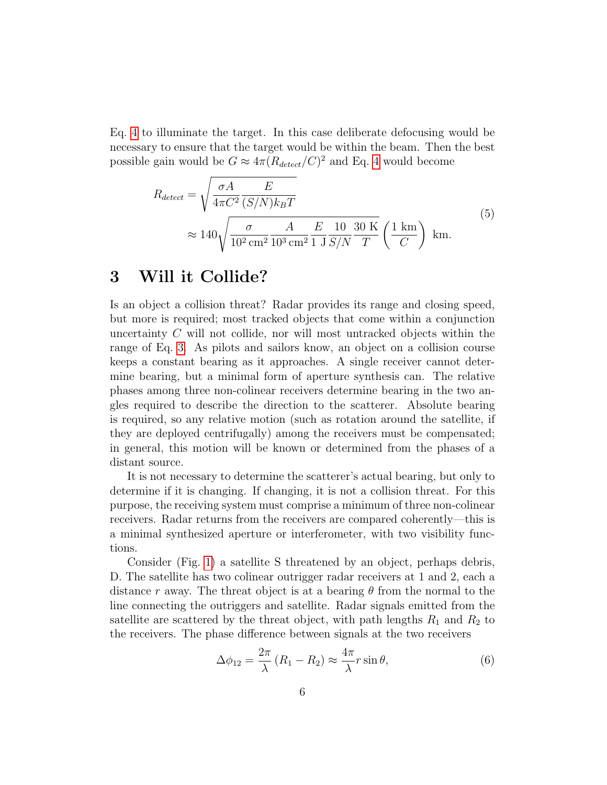Eq. [4](#page-4-0) to illuminate the target. In this case deliberate defocusing would be necessary to ensure that the target would be within the beam. Then the best possible gain would be  $G \approx 4\pi (R_{detect}/C)^2$  $G \approx 4\pi (R_{detect}/C)^2$  $G \approx 4\pi (R_{detect}/C)^2$  and Eq. 4 would become

$$
R_{detect} = \sqrt{\frac{\sigma A}{4\pi C^2} \frac{E}{(S/N)k_B T}}
$$
  
\n
$$
\approx 140 \sqrt{\frac{\sigma}{10^2 \text{ cm}^2} \frac{A}{10^3 \text{ cm}^2} \frac{E}{1 \text{ J}} \frac{10}{S/N} \frac{30 \text{ K}}{T} \left(\frac{1 \text{ km}}{C}\right)} \text{ km.}
$$
\n(5)

## <span id="page-5-0"></span>3 Will it Collide?

Is an object a collision threat? Radar provides its range and closing speed, but more is required; most tracked objects that come within a conjunction uncertainty C will not collide, nor will most untracked objects within the range of Eq. [3.](#page-2-1) As pilots and sailors know, an object on a collision course keeps a constant bearing as it approaches. A single receiver cannot determine bearing, but a minimal form of aperture synthesis can. The relative phases among three non-colinear receivers determine bearing in the two angles required to describe the direction to the scatterer. Absolute bearing is required, so any relative motion (such as rotation around the satellite, if they are deployed centrifugally) among the receivers must be compensated; in general, this motion will be known or determined from the phases of a distant source.

It is not necessary to determine the scatterer's actual bearing, but only to determine if it is changing. If changing, it is not a collision threat. For this purpose, the receiving system must comprise a minimum of three non-colinear receivers. Radar returns from the receivers are compared coherently—this is a minimal synthesized aperture or interferometer, with two visibility functions.

Consider (Fig. [1\)](#page-6-0) a satellite S threatened by an object, perhaps debris, D. The satellite has two colinear outrigger radar receivers at 1 and 2, each a distance r away. The threat object is at a bearing  $\theta$  from the normal to the line connecting the outriggers and satellite. Radar signals emitted from the satellite are scattered by the threat object, with path lengths  $R_1$  and  $R_2$  to the receivers. The phase difference between signals at the two receivers

$$
\Delta\phi_{12} = \frac{2\pi}{\lambda} \left( R_1 - R_2 \right) \approx \frac{4\pi}{\lambda} r \sin \theta, \tag{6}
$$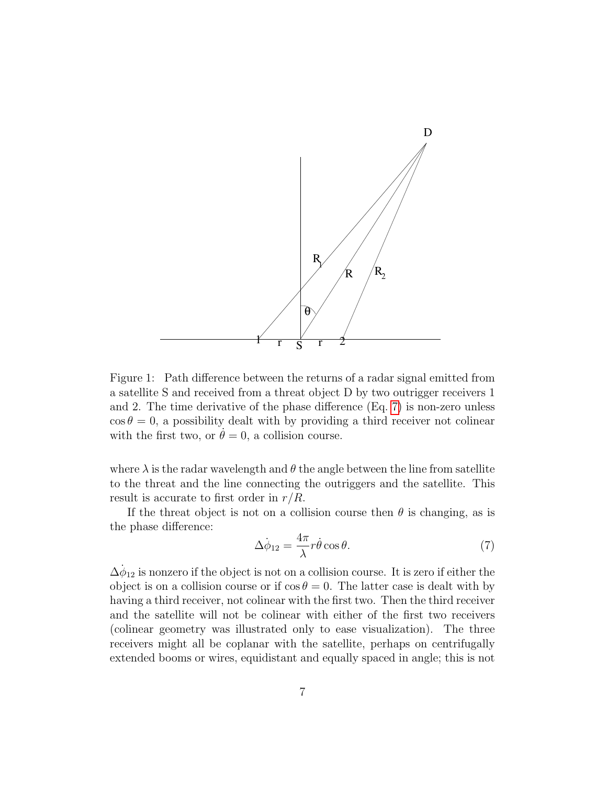

<span id="page-6-0"></span>Figure 1: Path difference between the returns of a radar signal emitted from a satellite S and received from a threat object D by two outrigger receivers 1 and 2. The time derivative of the phase difference (Eq. [7\)](#page-6-1) is non-zero unless  $\cos \theta = 0$ , a possibility dealt with by providing a third receiver not colinear with the first two, or  $\theta = 0$ , a collision course.

where  $\lambda$  is the radar wavelength and  $\theta$  the angle between the line from satellite to the threat and the line connecting the outriggers and the satellite. This result is accurate to first order in  $r/R$ .

If the threat object is not on a collision course then  $\theta$  is changing, as is the phase difference:

<span id="page-6-1"></span>
$$
\Delta \dot{\phi}_{12} = \frac{4\pi}{\lambda} r \dot{\theta} \cos \theta. \tag{7}
$$

 $\dot{\Delta\phi_{12}}$  is nonzero if the object is not on a collision course. It is zero if either the object is on a collision course or if  $\cos \theta = 0$ . The latter case is dealt with by having a third receiver, not colinear with the first two. Then the third receiver and the satellite will not be colinear with either of the first two receivers (colinear geometry was illustrated only to ease visualization). The three receivers might all be coplanar with the satellite, perhaps on centrifugally extended booms or wires, equidistant and equally spaced in angle; this is not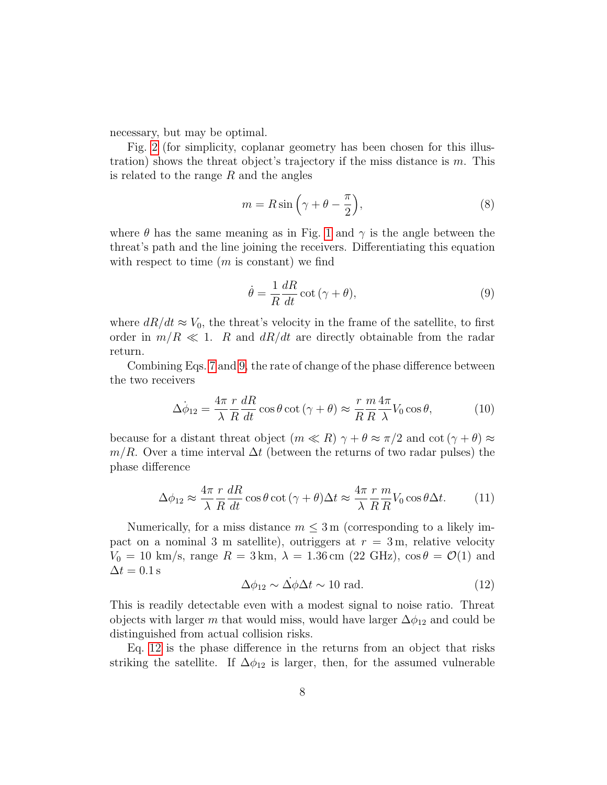necessary, but may be optimal.

Fig. [2](#page-8-0) (for simplicity, coplanar geometry has been chosen for this illustration) shows the threat object's trajectory if the miss distance is  $m$ . This is related to the range  $R$  and the angles

$$
m = R\sin\left(\gamma + \theta - \frac{\pi}{2}\right),\tag{8}
$$

where  $\theta$  has the same meaning as in Fig. [1](#page-6-0) and  $\gamma$  is the angle between the threat's path and the line joining the receivers. Differentiating this equation with respect to time  $(m \text{ is constant})$  we find

<span id="page-7-0"></span>
$$
\dot{\theta} = \frac{1}{R} \frac{dR}{dt} \cot(\gamma + \theta),\tag{9}
$$

where  $dR/dt \approx V_0$ , the threat's velocity in the frame of the satellite, to first order in  $m/R \ll 1$ . R and  $dR/dt$  are directly obtainable from the radar return.

Combining Eqs. [7](#page-6-1) and [9,](#page-7-0) the rate of change of the phase difference between the two receivers

$$
\dot{\Delta\phi}_{12} = \frac{4\pi}{\lambda} \frac{r}{R} \frac{dR}{dt} \cos\theta \cot(\gamma + \theta) \approx \frac{r}{R} \frac{m}{R} \frac{4\pi}{\lambda} V_0 \cos\theta, \tag{10}
$$

because for a distant threat object  $(m \ll R) \gamma + \theta \approx \pi/2$  and  $\cot(\gamma + \theta) \approx$  $m/R$ . Over a time interval  $\Delta t$  (between the returns of two radar pulses) the phase difference

$$
\Delta\phi_{12} \approx \frac{4\pi}{\lambda} \frac{r}{R} \frac{dR}{dt} \cos\theta \cot(\gamma + \theta) \Delta t \approx \frac{4\pi}{\lambda} \frac{r}{R} \frac{m}{R} V_0 \cos\theta \Delta t.
$$
 (11)

Numerically, for a miss distance  $m \leq 3$  m (corresponding to a likely impact on a nominal 3 m satellite), outriggers at  $r = 3$  m, relative velocity  $V_0 = 10 \text{ km/s}, \text{ range } R = 3 \text{ km}, \lambda = 1.36 \text{ cm}$  (22 GHz),  $\cos \theta = \mathcal{O}(1)$  and  $\Delta t = 0.1$  s

<span id="page-7-1"></span>
$$
\Delta\phi_{12} \sim \dot{\Delta\phi}\Delta t \sim 10 \text{ rad.} \tag{12}
$$

This is readily detectable even with a modest signal to noise ratio. Threat objects with larger m that would miss, would have larger  $\Delta\phi_{12}$  and could be distinguished from actual collision risks.

Eq. [12](#page-7-1) is the phase difference in the returns from an object that risks striking the satellite. If  $\Delta\phi_{12}$  is larger, then, for the assumed vulnerable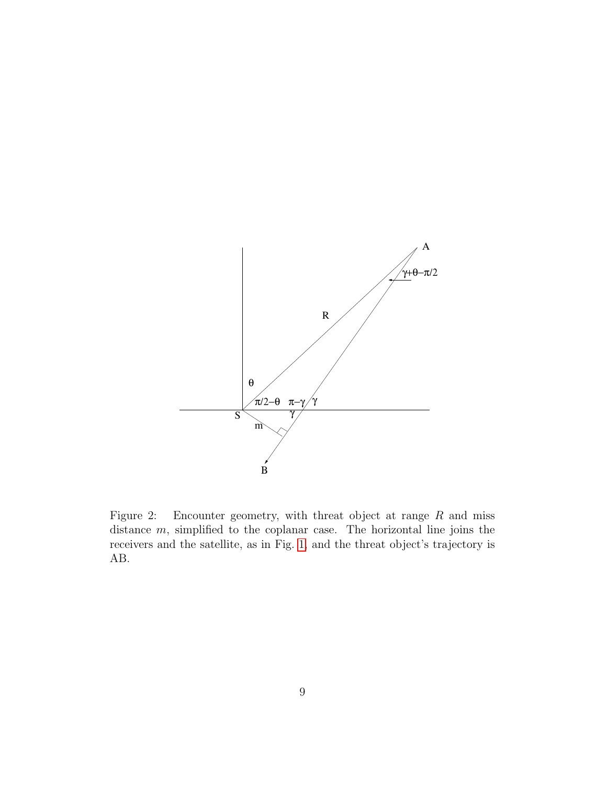

<span id="page-8-0"></span>Figure 2: Encounter geometry, with threat object at range R and miss distance  $m$ , simplified to the coplanar case. The horizontal line joins the receivers and the satellite, as in Fig. [1,](#page-6-0) and the threat object's trajectory is AB.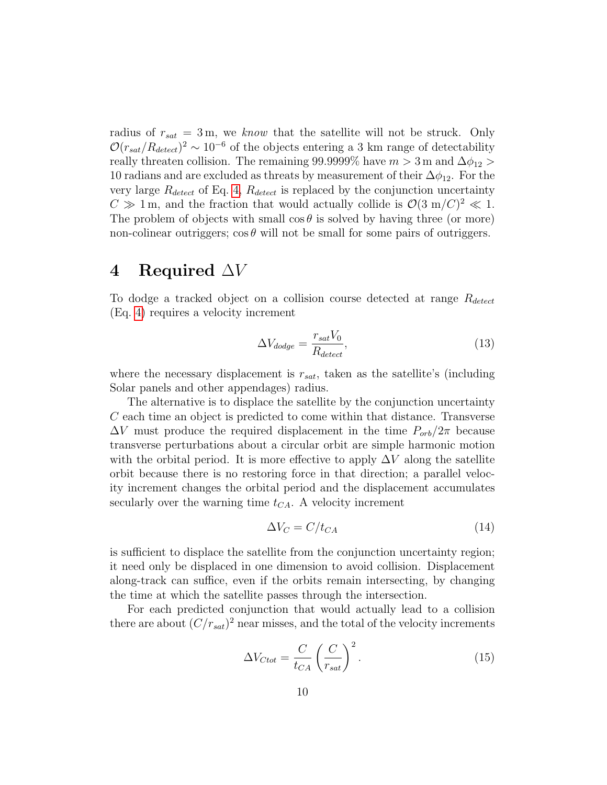radius of  $r_{sat} = 3$  m, we know that the satellite will not be struck. Only  $\mathcal{O}(r_{sat}/R_{detect})^2 \sim 10^{-6}$  of the objects entering a 3 km range of detectability really threaten collision. The remaining 99.9999% have  $m > 3$  m and  $\Delta \phi_{12} >$ 10 radians and are excluded as threats by measurement of their  $\Delta\phi_{12}$ . For the very large  $R_{detect}$  of Eq. [4,](#page-4-0)  $R_{detect}$  is replaced by the conjunction uncertainty  $C \gg 1$  m, and the fraction that would actually collide is  $\mathcal{O}(3 \text{ m}/C)^2 \ll 1$ . The problem of objects with small  $\cos \theta$  is solved by having three (or more) non-colinear outriggers;  $\cos \theta$  will not be small for some pairs of outriggers.

### 4 Required  $\Delta V$

To dodge a tracked object on a collision course detected at range  $R_{detect}$ (Eq. [4\)](#page-4-0) requires a velocity increment

<span id="page-9-1"></span>
$$
\Delta V_{dodge} = \frac{r_{sat}V_0}{R_{detect}},\tag{13}
$$

where the necessary displacement is  $r_{sat}$ , taken as the satellite's (including Solar panels and other appendages) radius.

The alternative is to displace the satellite by the conjunction uncertainty C each time an object is predicted to come within that distance. Transverse  $\Delta V$  must produce the required displacement in the time  $P_{orb}/2\pi$  because transverse perturbations about a circular orbit are simple harmonic motion with the orbital period. It is more effective to apply  $\Delta V$  along the satellite orbit because there is no restoring force in that direction; a parallel velocity increment changes the orbital period and the displacement accumulates secularly over the warning time  $t_{CA}$ . A velocity increment

<span id="page-9-0"></span>
$$
\Delta V_C = C/t_{CA} \tag{14}
$$

is sufficient to displace the satellite from the conjunction uncertainty region; it need only be displaced in one dimension to avoid collision. Displacement along-track can suffice, even if the orbits remain intersecting, by changing the time at which the satellite passes through the intersection.

For each predicted conjunction that would actually lead to a collision there are about  $(C/r_{sat})^2$  near misses, and the total of the velocity increments

$$
\Delta V_{Ctot} = \frac{C}{t_{CA}} \left(\frac{C}{r_{sat}}\right)^2.
$$
\n(15)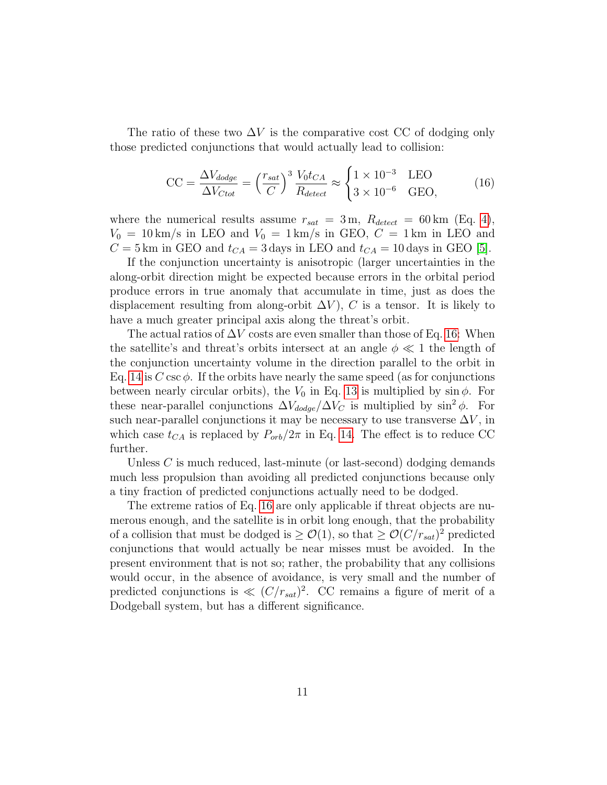The ratio of these two  $\Delta V$  is the comparative cost CC of dodging only those predicted conjunctions that would actually lead to collision:

<span id="page-10-0"></span>
$$
\text{CC} = \frac{\Delta V_{dodge}}{\Delta V_{Ctot}} = \left(\frac{r_{sat}}{C}\right)^3 \frac{V_0 t_{CA}}{R_{detect}} \approx \begin{cases} 1 \times 10^{-3} & \text{LEO} \\ 3 \times 10^{-6} & \text{GEO,} \end{cases}
$$
 (16)

where the numerical results assume  $r_{sat} = 3 \text{ m}$ ,  $R_{detect} = 60 \text{ km}$  (Eq. [4\)](#page-4-0),  $V_0 = 10 \text{ km/s}$  in LEO and  $V_0 = 1 \text{ km/s}$  in GEO,  $C = 1 \text{ km}$  in LEO and  $C = 5$  km in GEO and  $t_{CA} = 3$  days in LEO and  $t_{CA} = 10$  days in GEO [\[5\]](#page-13-4).

If the conjunction uncertainty is anisotropic (larger uncertainties in the along-orbit direction might be expected because errors in the orbital period produce errors in true anomaly that accumulate in time, just as does the displacement resulting from along-orbit  $\Delta V$ ), C is a tensor. It is likely to have a much greater principal axis along the threat's orbit.

The actual ratios of  $\Delta V$  costs are even smaller than those of Eq. [16:](#page-10-0) When the satellite's and threat's orbits intersect at an angle  $\phi \ll 1$  the length of the conjunction uncertainty volume in the direction parallel to the orbit in Eq. [14](#page-9-0) is C csc  $\phi$ . If the orbits have nearly the same speed (as for conjunctions between nearly circular orbits), the  $V_0$  in Eq. [13](#page-9-1) is multiplied by sin  $\phi$ . For these near-parallel conjunctions  $\Delta V_{dodge}/\Delta V_C$  is multiplied by sin<sup>2</sup>  $\phi$ . For such near-parallel conjunctions it may be necessary to use transverse  $\Delta V$ , in which case  $t_{CA}$  is replaced by  $P_{orb}/2\pi$  in Eq. [14.](#page-9-0) The effect is to reduce CC further.

Unless  $C$  is much reduced, last-minute (or last-second) dodging demands much less propulsion than avoiding all predicted conjunctions because only a tiny fraction of predicted conjunctions actually need to be dodged.

The extreme ratios of Eq. [16](#page-10-0) are only applicable if threat objects are numerous enough, and the satellite is in orbit long enough, that the probability of a collision that must be dodged is  $\geq \mathcal{O}(1)$ , so that  $\geq \mathcal{O}(C/r_{sat})^2$  predicted conjunctions that would actually be near misses must be avoided. In the present environment that is not so; rather, the probability that any collisions would occur, in the absence of avoidance, is very small and the number of predicted conjunctions is  $\ll (C/r_{sat})^2$ . CC remains a figure of merit of a Dodgeball system, but has a different significance.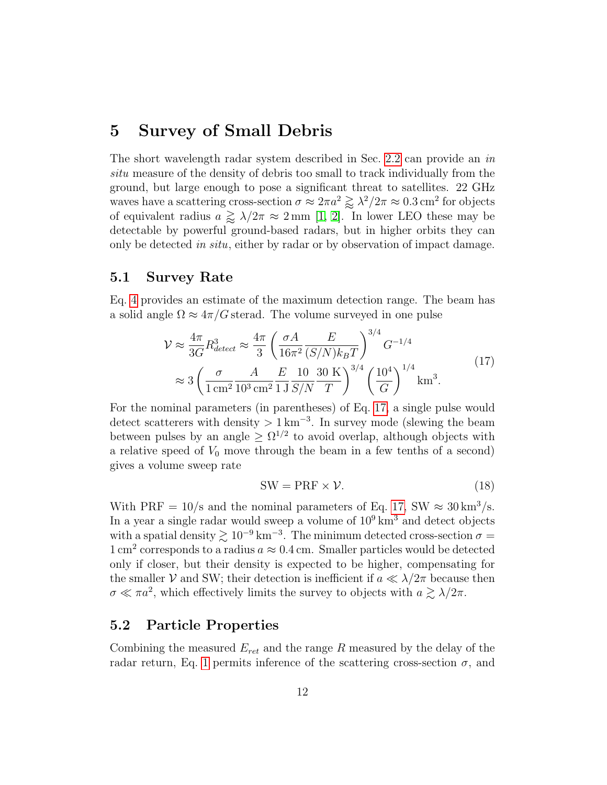#### 5 Survey of Small Debris

The short wavelength radar system described in Sec. [2.2](#page-3-0) can provide an in situ measure of the density of debris too small to track individually from the ground, but large enough to pose a significant threat to satellites. 22 GHz waves have a scattering cross-section  $\sigma \approx 2\pi a^2 \gtrapprox \lambda^2/2\pi \approx 0.3 \text{ cm}^2$  for objects of equivalent radius  $a \gtrapprox \lambda/2\pi \approx 2 \text{ mm}$  [\[1,](#page-13-0) [2\]](#page-13-1). In lower LEO these may be detectable by powerful ground-based radars, but in higher orbits they can only be detected in situ, either by radar or by observation of impact damage.

#### 5.1 Survey Rate

Eq. [4](#page-4-0) provides an estimate of the maximum detection range. The beam has a solid angle  $\Omega \approx 4\pi/G$  sterad. The volume surveyed in one pulse

$$
\mathcal{V} \approx \frac{4\pi}{3G} R_{detect}^3 \approx \frac{4\pi}{3} \left( \frac{\sigma A}{16\pi^2} \frac{E}{(S/N)k_B T} \right)^{3/4} G^{-1/4}
$$
  

$$
\approx 3 \left( \frac{\sigma}{1 \text{ cm}^2} \frac{A}{10^3 \text{ cm}^2} \frac{E}{1 \text{ J}} \frac{10}{S/N} \frac{30 \text{ K}}{T} \right)^{3/4} \left( \frac{10^4}{G} \right)^{1/4} \text{km}^3.
$$
 (17)

<span id="page-11-0"></span>For the nominal parameters (in parentheses) of Eq. [17,](#page-11-0) a single pulse would detect scatterers with density  $> 1 \text{ km}^{-3}$ . In survey mode (slewing the beam between pulses by an angle  $\geq \Omega^{1/2}$  to avoid overlap, although objects with a relative speed of  $V_0$  move through the beam in a few tenths of a second) gives a volume sweep rate

$$
SW = PRF \times \mathcal{V}.\tag{18}
$$

With PRF =  $10/s$  and the nominal parameters of Eq. [17,](#page-11-0) SW  $\approx 30 \text{ km}^3/\text{s}$ . In a year a single radar would sweep a volume of  $10^9 \text{ km}^3$  and detect objects with a spatial density  $\gtrsim 10^{-9}$  km<sup>-3</sup>. The minimum detected cross-section  $\sigma =$  $1 \text{ cm}^2$  corresponds to a radius  $a \approx 0.4 \text{ cm}$ . Smaller particles would be detected only if closer, but their density is expected to be higher, compensating for the smaller V and SW; their detection is inefficient if  $a \ll \lambda/2\pi$  because then  $\sigma \ll \pi a^2$ , which effectively limits the survey to objects with  $a \gtrsim \lambda/2\pi$ .

#### 5.2 Particle Properties

Combining the measured  $E_{ret}$  and the range R measured by the delay of the radar return, Eq. [1](#page-2-2) permits inference of the scattering cross-section  $\sigma$ , and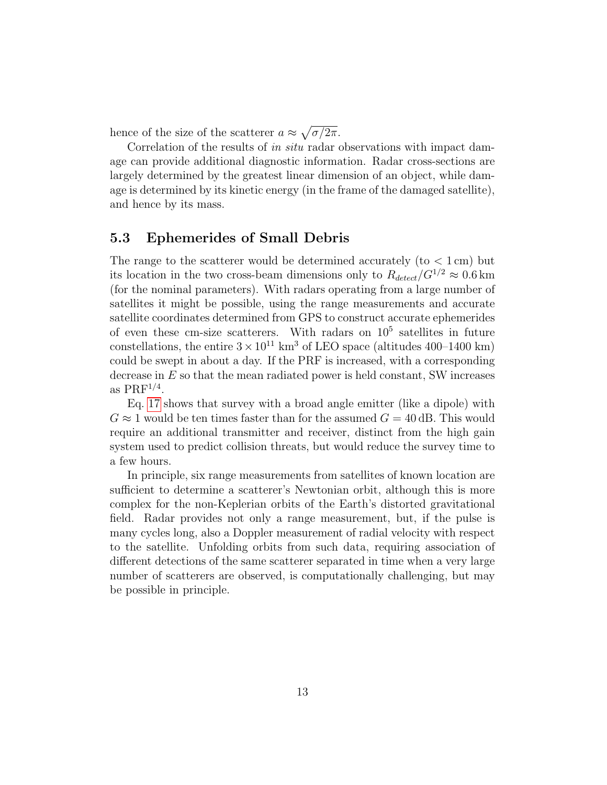hence of the size of the scatterer  $a \approx \sqrt{\sigma/2\pi}$ .

Correlation of the results of in situ radar observations with impact damage can provide additional diagnostic information. Radar cross-sections are largely determined by the greatest linear dimension of an object, while damage is determined by its kinetic energy (in the frame of the damaged satellite), and hence by its mass.

#### 5.3 Ephemerides of Small Debris

The range to the scatterer would be determined accurately (to  $< 1 \,\mathrm{cm}$ ) but its location in the two cross-beam dimensions only to  $R_{detect}/G^{1/2} \approx 0.6$  km (for the nominal parameters). With radars operating from a large number of satellites it might be possible, using the range measurements and accurate satellite coordinates determined from GPS to construct accurate ephemerides of even these cm-size scatterers. With radars on  $10^5$  satellites in future constellations, the entire  $3 \times 10^{11}$  km<sup>3</sup> of LEO space (altitudes 400–1400 km) could be swept in about a day. If the PRF is increased, with a corresponding decrease in  $E$  so that the mean radiated power is held constant, SW increases as  $PRF^{1/4}$ .

Eq. [17](#page-11-0) shows that survey with a broad angle emitter (like a dipole) with  $G \approx 1$  would be ten times faster than for the assumed  $G = 40$  dB. This would require an additional transmitter and receiver, distinct from the high gain system used to predict collision threats, but would reduce the survey time to a few hours.

In principle, six range measurements from satellites of known location are sufficient to determine a scatterer's Newtonian orbit, although this is more complex for the non-Keplerian orbits of the Earth's distorted gravitational field. Radar provides not only a range measurement, but, if the pulse is many cycles long, also a Doppler measurement of radial velocity with respect to the satellite. Unfolding orbits from such data, requiring association of different detections of the same scatterer separated in time when a very large number of scatterers are observed, is computationally challenging, but may be possible in principle.